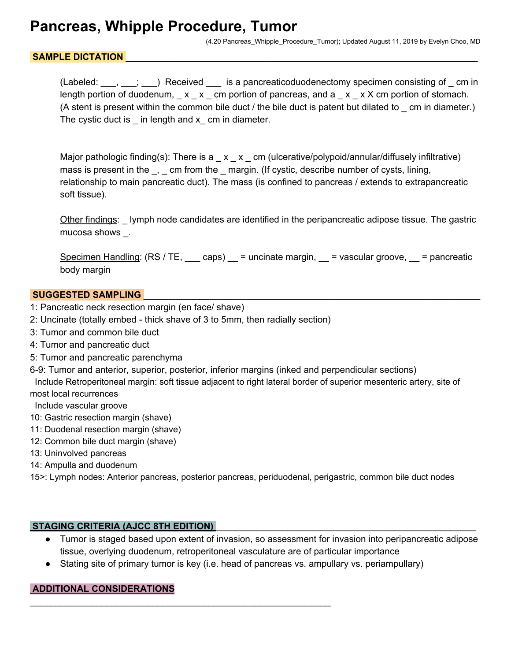## **Pancreas, Whipple Procedure, Tumor**

(4.20 Pancreas\_Whipple\_Procedure\_Tumor); Updated August 11, 2019 by Evelyn Choo, MD

### SAMPLE DICTATION

(Labeled:  $\frac{1}{1}$ ,  $\frac{1}{1}$ ) Received is a pancreaticoduodenectomy specimen consisting of \_ cm in length portion of duodenum,  $\Box x \Box x \Box$  cm portion of pancreas, and  $a \Box x \Box x$  X cm portion of stomach. (A stent is present within the common bile duct / the bile duct is patent but dilated to cm in diameter.) The cystic duct is  $\_$  in length and  $x\_$  cm in diameter.

Major pathologic finding(s): There is  $a_x x_x$  cm (ulcerative/polypoid/annular/diffusely infiltrative) mass is present in the \_, \_ cm from the \_ margin. (If cystic, describe number of cysts, lining, relationship to main pancreatic duct). The mass (is confined to pancreas / extends to extrapancreatic soft tissue).

Other findings: \_ lymph node candidates are identified in the peripancreatic adipose tissue. The gastric mucosa shows \_.

Specimen Handling:  $(RS / TE, \_ can)$  = uncinate margin,  $\_$  = vascular groove,  $\_$  = pancreatic body margin

#### **SUGGESTED SAMPLING**

- 1: Pancreatic neck resection margin (en face/ shave)
- 2: Uncinate (totally embed thick shave of 3 to 5mm, then radially section)

\_\_\_\_\_\_\_\_\_\_\_\_\_\_\_\_\_\_\_\_\_\_\_\_\_\_\_\_\_\_\_\_\_\_\_\_\_\_\_\_\_\_\_\_\_\_\_\_\_\_\_\_\_\_\_\_\_\_\_

- 3: Tumor and common bile duct
- 4: Tumor and pancreatic duct
- 5: Tumor and pancreatic parenchyma
- 6-9: Tumor and anterior, superior, posterior, inferior margins (inked and perpendicular sections)

 Include Retroperitoneal margin: soft tissue adjacent to right lateral border of superior mesenteric artery, site of most local recurrences

Include vascular groove

- 10: Gastric resection margin (shave)
- 11: Duodenal resection margin (shave)
- 12: Common bile duct margin (shave)
- 13: Uninvolved pancreas
- 14: Ampulla and duodenum

15>: Lymph nodes: Anterior pancreas, posterior pancreas, periduodenal, perigastric, common bile duct nodes

#### **STAGING CRITERIA (AJCC 8TH EDITION)** \_\_\_\_\_\_\_\_\_\_\_\_\_\_\_\_\_\_\_\_\_\_\_\_\_\_\_\_\_\_\_\_\_\_\_\_\_\_\_\_\_\_\_\_\_\_\_\_\_\_\_

- Tumor is staged based upon extent of invasion, so assessment for invasion into peripancreatic adipose tissue, overlying duodenum, retroperitoneal vasculature are of particular importance
- Stating site of primary tumor is key (i.e. head of pancreas vs. ampullary vs. periampullary)

#### **ADDITIONAL CONSIDERATIONS**